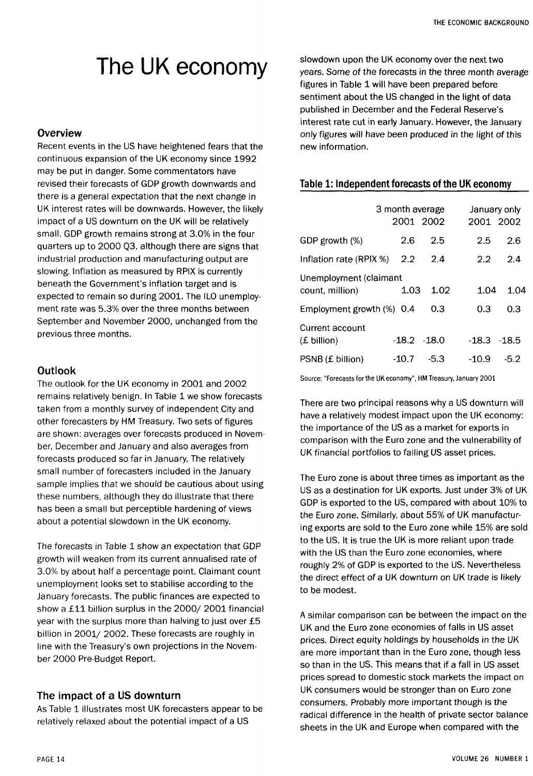# The UK economy

### **Overview**

Recent events in the US have heightened fears that the continuous expansion of the UK economy since 1992 may be put in danger. Some commentators have revised their forecasts of GDP growth downwards and there is a general expectation that the next change in UK interest rates will be downwards. However, the likely impact of a US downturn on the UK will be relatively small. GDP growth remains strong at 3.0% in the four quarters up to 2000 Q3, although there are signs that industrial production and manufacturing output are slowing. Inflation as measured by RPIX is currently beneath the Government's inflation target and is expected to remain so during 2001. The ILO unemployment rate was 5.3% over the three months between September and November 2000, unchanged from the previous three months.

## Outlook

The outlook for the UK economy in 2001 and 2002 remains relatively benign. In Table 1 we show forecasts taken from a monthly survey of independent City and other forecasters by HM Treasury. Two sets of figures are shown: averages over forecasts produced in November, December and January and also averages from forecasts produced so far in January. The relatively small number of forecasters included in the January sample implies that we should be cautious about using these numbers, although they do illustrate that there has been a small but perceptible hardening of views about a potential slowdown in the UK economy.

The forecasts in Table 1 show an expectation that GDP growth will weaken from its current annualised rate of 3.0% by about half a percentage point. Claimant count unemployment looks set to stabilise according to the January forecasts. The public finances are expected to show a £11 billion surplus in the 2000/ 2001 financial year with the surplus more than halving to just over £5 billion in 2001/ 2002. These forecasts are roughly in line with the Treasury's own projections in the November 2000 Pre-Budget Report.

## The impact of a US downturn

As Table 1 illustrates most UK forecasters appear to be relatively relaxed about the potential impact of a US

slowdown upon the UK economy over the next two years. Some of the forecasts in the three month average figures in Table 1 will have been prepared before sentiment about the US changed in the light of data published in December and the Federal Reserve's interest rate cut in early January. However, the January only figures will have been produced in the light of this new information.

## Table 1: Independent forecasts of the UK economy

|                                           | 3 month average<br>2001 2002 |      | January only<br>2001 2002 |      |
|-------------------------------------------|------------------------------|------|---------------------------|------|
| GDP growth (%)                            | 2.6                          | 2.5  | 2.5                       | 2.6  |
| Inflation rate $(R$ PIX $\%$ ) 2.2        |                              | 2.4  | $2.2^{\circ}$             | 24   |
| Unemployment (claimant<br>count, million) | 1.03                         | 1.02 | 1.04                      | 1.04 |
| Employment growth $(\%)$ 0.4              |                              | 0.3  | 0.3                       | 0.3  |
| Current account<br>(£ billion)            | $-18.2 - 18.0$               |      | $-18.3 - 18.5$            |      |
| PSNB (£ billion)                          | -10.7                        | -5.3 | $-10.9$                   | -5.2 |

Source: "Forecasts for the UK economy", HM Treasury, January 2001

There are two principal reasons why a US downturn will have a relatively modest impact upon the UK economy: the importance of the US as a market for exports in comparison with the Euro zone and the vulnerability of UK financial portfolios to falling US asset prices.

The Euro zone is about three times as important as the US as a destination for UK exports. Just under 3% of UK GDP is exported to the US, compared with about 10% to the Euro zone. Similarly, about 55% of UK manufacturing exports are sold to the Euro zone while 15% are sold to the US. It is true the UK is more reliant upon trade with the US than the Euro zone economies, where roughly 2% of GDP is exported to the US. Nevertheless the direct effect of a UK downturn on UK trade is likely to be modest.

A similar comparison can be between the impact on the UK and the Euro zone economies of falls in US asset prices. Direct equity holdings by households in the UK are more important than in the Euro zone, though less so than in the US. This means that if a fall in US asset prices spread to domestic stock markets the impact on UK consumers would be stronger than on Euro zone consumers. Probably more important though is the radical difference in the health of private sector balance sheets in the UK and Europe when compared with the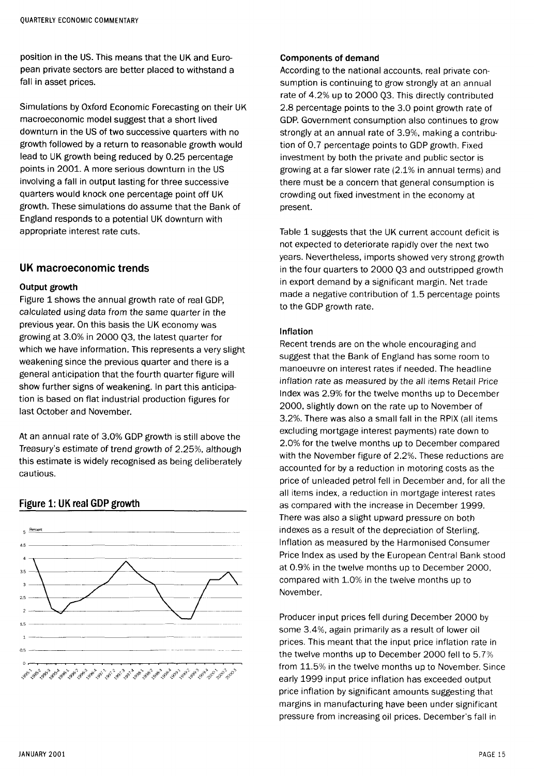position in the US. This means that the UK and European private sectors are better placed to withstand a fall in asset prices.

Simulations by Oxford Economic Forecasting on their UK macroeconomic model suggest that a short lived downturn in the US of two successive quarters with no growth followed by a return to reasonable growth would lead to UK growth being reduced by 0.25 percentage points in 2001. A more serious downturn in the US involving a fall in output lasting for three successive quarters would knock one percentage point off UK growth. These simulations do assume that the Bank of England responds to a potential UK downturn with appropriate interest rate cuts.

## UK macroeconomic trends

#### **Output growth**

Figure 1 shows the annual growth rate of real GDP, calculated using data from the same quarter in the previous year. On this basis the UK economy was growing at 3.0% in 2000 Q3, the latest quarter for which we have information. This represents a very slight weakening since the previous quarter and there is a general anticipation that the fourth quarter figure will show further signs of weakening. In part this anticipation is based on flat industrial production figures for last October and November.

At an annual rate of 3.0% GDP growth is still above the Treasury's estimate of trend growth of 2.25%, although this estimate is widely recognised as being deliberately cautious.

## Figure 1: UK real GDP growth



#### **Components of demand**

According to the national accounts, real private consumption is continuing to grow strongly at an annual rate of 4.2% up to 2000 Q3. This directly contributed 2.8 percentage points to the 3.0 point growth rate of GDP. Government consumption also continues to grow strongly at an annual rate of 3.9%, making a contribution of 0.7 percentage points to GDP growth. Fixed investment by both the private and public sector is growing at a far slower rate (2.1% in annual terms) and there must be a concern that general consumption is crowding out fixed investment in the economy at present.

Table 1 suggests that the UK current account deficit is not expected to deteriorate rapidly over the next two years. Nevertheless, imports showed very strong growth in the four quarters to 2000 Q3 and outstripped growth in export demand by a significant margin. Net trade made a negative contribution of 1.5 percentage points to the GDP growth rate.

#### **Inflation**

Recent trends are on the whole encouraging and suggest that the Bank of England has some room to manoeuvre on interest rates if needed. The headline inflation rate as measured by the all items Retail Price Index was 2.9% for the twelve months up to December 2000, slightly down on the rate up to November of 3.2%. There was also a small fall in the RPIX (all items excluding mortgage interest payments) rate down to 2.0% for the twelve months up to December compared with the November figure of 2.2%. These reductions are accounted for by a reduction in motoring costs as the price of unleaded petrol fell in December and, for all the all items index, a reduction in mortgage interest rates as compared with the increase in December 1999. There was also a slight upward pressure on both indexes as a result of the depreciation of Sterling. Inflation as measured by the Harmonised Consumer Price Index as used by the European Central Bank stood at 0.9% in the twelve months up to December 2000, compared with 1.0% in the twelve months up to November.

Producer input prices fell during December 2000 by some 3.4%, again primarily as a result of lower oil prices. This meant that the input price inflation rate in the twelve months up to December 2000 fell to 5.7% from 11.5% in the twelve months up to November. Since early 1999 input price inflation has exceeded output price inflation by significant amounts suggesting that margins in manufacturing have been under significant pressure from increasing oil prices. December's fall in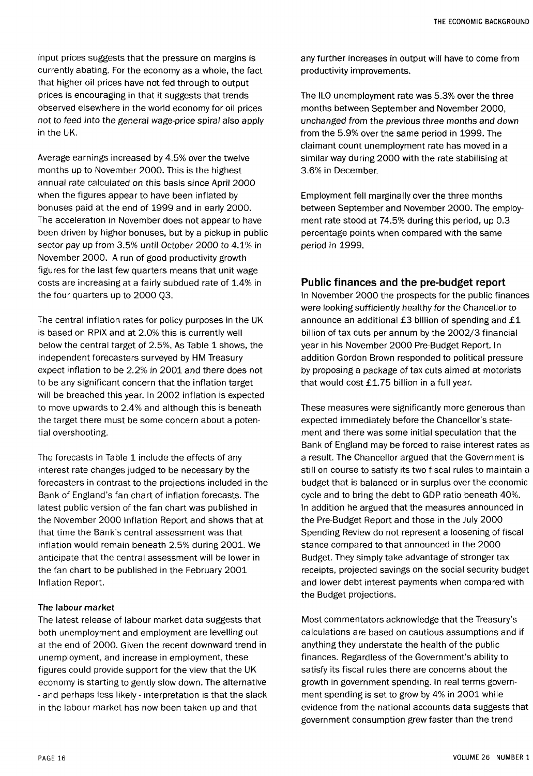input prices suggests that the pressure on margins is currently abating. For the economy as a whole, the fact that higher oil prices have not fed through to output prices is encouraging in that it suggests that trends observed elsewhere in the world economy for oil prices not to feed into the general wage-price spiral also apply in the UK.

Average earnings increased by 4.5% over the twelve months up to November 2000. This is the highest annual rate calculated on this basis since April 2000 when the figures appear to have been inflated by bonuses paid at the end of 1999 and in early 2000. The acceleration in November does not appear to have been driven by higher bonuses, but by a pickup in public sector pay up from 3.5% until October 2000 to 4.1% in November 2000. A run of good productivity growth figures for the last few quarters means that unit wage costs are increasing at a fairly subdued rate of 1.4% in the four quarters up to 2000 Q3.

The central inflation rates for policy purposes in the UK is based on RPIX and at 2.0% this is currently well below the central target of 2.5%. As Table 1 shows, the independent forecasters surveyed by HM Treasury expect inflation to be 2.2% in 2001 and there does not to be any significant concern that the inflation target will be breached this year. In 2002 inflation is expected to move upwards to 2.4% and although this is beneath the target there must be some concern about a potential overshooting.

The forecasts in Table 1 include the effects of any interest rate changes judged to be necessary by the forecasters in contrast to the projections included in the Bank of England's fan chart of inflation forecasts. The latest public version of the fan chart was published in the November 2000 Inflation Report and shows that at that time the Bank's central assessment was that inflation would remain beneath 2.5% during 2001. We anticipate that the central assessment will be lower in the fan chart to be published in the February 2001 Inflation Report.

#### **The labour market**

The latest release of labour market data suggests that both unemployment and employment are levelling out at the end of 2000. Given the recent downward trend in unemployment, and increase in employment, these figures could provide support for the view that the UK economy is starting to gently slow down. The alternative - and perhaps less likely - interpretation is that the slack in the labour market has now been taken up and that

any further increases in output will have to come from productivity improvements.

The ILO unemployment rate was 5.3% over the three months between September and November 2000, unchanged from the previous three months and down from the 5.9% over the same period in 1999. The claimant count unemployment rate has moved in a similar way during 2000 with the rate stabilising at 3.6% in December.

Employment fell marginally over the three months between September and November 2000. The employment rate stood at 74.5% during this period, up 0.3 percentage points when compared with the same period in 1999.

## Public finances and the pre-budget report

In November 2000 the prospects for the public finances were looking sufficiently healthy for the Chancellor to announce an additional £3 billion of spending and £1 billion of tax cuts per annum by the 2002/3 financial year in his November 2000 Pre-Budget Report. In addition Gordon Brown responded to political pressure by proposing a package of tax cuts aimed at motorists that would cost £1.75 billion in a full year.

These measures were significantly more generous than expected immediately before the Chancellor's statement and there was some initial speculation that the Bank of England may be forced to raise interest rates as a result. The Chancellor argued that the Government is still on course to satisfy its two fiscal rules to maintain a budget that is balanced or in surplus over the economic cycle and to bring the debt to GDP ratio beneath 40%. In addition he argued that the measures announced in the Pre-Budget Report and those in the July 2000 Spending Review do not represent a loosening of fiscal stance compared to that announced in the 2000 Budget. They simply take advantage of stronger tax receipts, projected savings on the social security budget and lower debt interest payments when compared with the Budget projections.

Most commentators acknowledge that the Treasury's calculations are based on cautious assumptions and if anything they understate the health of the public finances. Regardless of the Government's ability to satisfy its fiscal rules there are concerns about the growth in government spending. In real terms government spending is set to grow by 4% in 2001 while evidence from the national accounts data suggests that government consumption grew faster than the trend